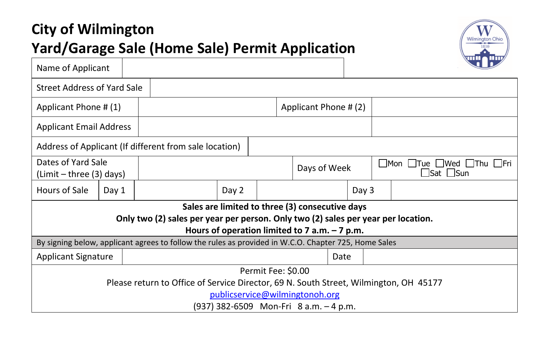# **City of Wilmington Yard/Garage Sale (Home Sale) Permit Application**



| Name of Applicant                                                                                                                                                                       |       |  |  |       |  |                       |              |       | ▧╨╨ |                                                                         |
|-----------------------------------------------------------------------------------------------------------------------------------------------------------------------------------------|-------|--|--|-------|--|-----------------------|--------------|-------|-----|-------------------------------------------------------------------------|
| <b>Street Address of Yard Sale</b>                                                                                                                                                      |       |  |  |       |  |                       |              |       |     |                                                                         |
| Applicant Phone # (1)                                                                                                                                                                   |       |  |  |       |  | Applicant Phone # (2) |              |       |     |                                                                         |
| <b>Applicant Email Address</b>                                                                                                                                                          |       |  |  |       |  |                       |              |       |     |                                                                         |
| Address of Applicant (If different from sale location)                                                                                                                                  |       |  |  |       |  |                       |              |       |     |                                                                         |
| Dates of Yard Sale<br>(Limit – three (3) days)                                                                                                                                          |       |  |  |       |  |                       | Days of Week |       |     | $\Box$ Mon $\Box$ Tue $\Box$ Wed $\Box$ Thu $\Box$ Fri<br>_ Sat  __ Sun |
| Hours of Sale                                                                                                                                                                           | Day 1 |  |  | Day 2 |  |                       |              | Day 3 |     |                                                                         |
| Sales are limited to three (3) consecutive days<br>Only two (2) sales per year per person. Only two (2) sales per year per location.<br>Hours of operation limited to 7 a.m. $-7$ p.m.  |       |  |  |       |  |                       |              |       |     |                                                                         |
| By signing below, applicant agrees to follow the rules as provided in W.C.O. Chapter 725, Home Sales                                                                                    |       |  |  |       |  |                       |              |       |     |                                                                         |
| <b>Applicant Signature</b>                                                                                                                                                              |       |  |  |       |  |                       | Date         |       |     |                                                                         |
| Permit Fee: \$0.00<br>Please return to Office of Service Director, 69 N. South Street, Wilmington, OH 45177<br>publicservice@wilmingtonoh.org<br>(937) 382-6509 Mon-Fri 8 a.m. – 4 p.m. |       |  |  |       |  |                       |              |       |     |                                                                         |